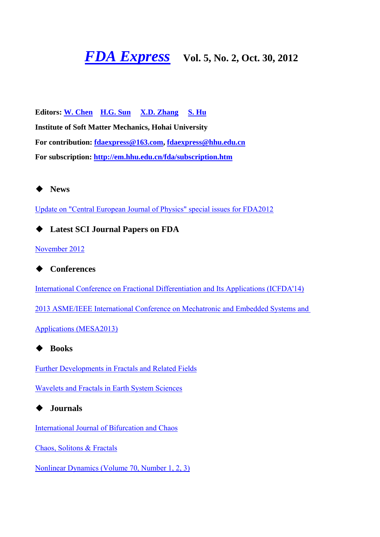# **FDA Express** Vol. 5, No. 2, Oct. 30, 2012

**Editors: W. Chen H.G. Sun X.D. Zhang S. Hu Institute of Soft Matter Mechanics, Hohai University For contribution: fdaexpress@163.com, fdaexpress@hhu.edu.cn For subscription: http://em.hhu.edu.cn/fda/subscription.htm**



Update on "Central European Journal of Physics" special issues for FDA2012

◆ **Latest SCI Journal Papers on FDA**

November 2012

◆ **Conferences**

International Conference on Fractional Differentiation and Its Applications (ICFDA'14)

2013 ASME/IEEE International Conference on Mechatronic and Embedded Systems and

Applications (MESA2013)

◆ **Books**

Further Developments in Fractals and Related Fields

Wavelets and Fractals in Earth System Sciences

◆ **Journals**

International Journal of Bifurcation and Chaos

Chaos, Solitons & Fractals

Nonlinear Dynamics (Volume 70, Number 1, 2, 3)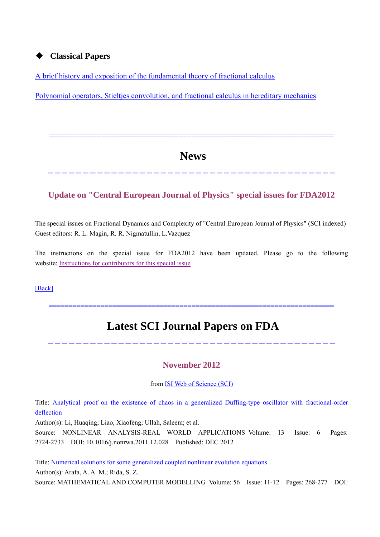### ◆ **Classical Papers**

A brief history and exposition of the fundamental theory of fractional calculus

Polynomial operators, Stieltjes convolution, and fractional calculus in hereditary mechanics

## **News**

-----------------------------------------

========================================================================

## **Update on "Central European Journal of Physics" special issues for FDA2012**

The special issues on Fractional Dynamics and Complexity of "Central European Journal of Physics" (SCI indexed) Guest editors: R. L. Magin, R. R. Nigmatullin, L.Vazquez

The instructions on the special issue for FDA2012 have been updated. Please go to the following website: Instructions for contributors for this special issue

[Back]

## **Latest SCI Journal Papers on FDA**

========================================================================

#### **November 2012**

-----------------------------------------

from ISI Web of Science (SCI)

Title: Analytical proof on the existence of chaos in a generalized Duffing-type oscillator with fractional-order deflection

Author(s): Li, Huaqing; Liao, Xiaofeng; Ullah, Saleem; et al.

Source: NONLINEAR ANALYSIS-REAL WORLD APPLICATIONS Volume: 13 Issue: 6 Pages: 2724-2733 DOI: 10.1016/j.nonrwa.2011.12.028 Published: DEC 2012

Title: Numerical solutions for some generalized coupled nonlinear evolution equations Author(s): Arafa, A. A. M.; Rida, S. Z. Source: MATHEMATICAL AND COMPUTER MODELLING Volume: 56 Issue: 11-12 Pages: 268-277 DOI: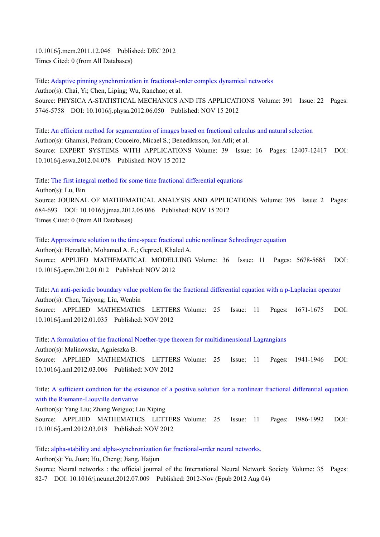10.1016/j.mcm.2011.12.046 Published: DEC 2012 Times Cited: 0 (from All Databases)

Title: Adaptive pinning synchronization in fractional-order complex dynamical networks Author(s): Chai, Yi; Chen, Liping; Wu, Ranchao; et al. Source: PHYSICA A-STATISTICAL MECHANICS AND ITS APPLICATIONS Volume: 391 Issue: 22 Pages: 5746-5758 DOI: 10.1016/j.physa.2012.06.050 Published: NOV 15 2012

Title: An efficient method for segmentation of images based on fractional calculus and natural selection Author(s): Ghamisi, Pedram; Couceiro, Micael S.; Benediktsson, Jon Atli; et al. Source: EXPERT SYSTEMS WITH APPLICATIONS Volume: 39 Issue: 16 Pages: 12407-12417 DOI: 10.1016/j.eswa.2012.04.078 Published: NOV 15 2012

Title: The first integral method for some time fractional differential equations Author(s): Lu, Bin Source: JOURNAL OF MATHEMATICAL ANALYSIS AND APPLICATIONS Volume: 395 Issue: 2 Pages: 684-693 DOI: 10.1016/j.jmaa.2012.05.066 Published: NOV 15 2012 Times Cited: 0 (from All Databases)

Title: Approximate solution to the time-space fractional cubic nonlinear Schrodinger equation Author(s): Herzallah, Mohamed A. E.; Gepreel, Khaled A. Source: APPLIED MATHEMATICAL MODELLING Volume: 36 Issue: 11 Pages: 5678-5685 DOI: 10.1016/j.apm.2012.01.012 Published: NOV 2012

Title: An anti-periodic boundary value problem for the fractional differential equation with a p-Laplacian operator Author(s): Chen, Taiyong; Liu, Wenbin Source: APPLIED MATHEMATICS LETTERS Volume: 25 Issue: 11 Pages: 1671-1675 DOI: 10.1016/j.aml.2012.01.035 Published: NOV 2012

Title: A formulation of the fractional Noether-type theorem for multidimensional Lagrangians Author(s): Malinowska, Agnieszka B. Source: APPLIED MATHEMATICS LETTERS Volume: 25 Issue: 11 Pages: 1941-1946 DOI: 10.1016/j.aml.2012.03.006 Published: NOV 2012

Title: A sufficient condition for the existence of a positive solution for a nonlinear fractional differential equation with the Riemann-Liouville derivative

Author(s): Yang Liu; Zhang Weiguo; Liu Xiping Source: APPLIED MATHEMATICS LETTERS Volume: 25 Issue: 11 Pages: 1986-1992 DOI: 10.1016/j.aml.2012.03.018 Published: NOV 2012

Title: alpha-stability and alpha-synchronization for fractional-order neural networks.

Author(s): Yu, Juan; Hu, Cheng; Jiang, Haijun

Source: Neural networks : the official journal of the International Neural Network Society Volume: 35 Pages: 82-7 DOI: 10.1016/j.neunet.2012.07.009 Published: 2012-Nov (Epub 2012 Aug 04)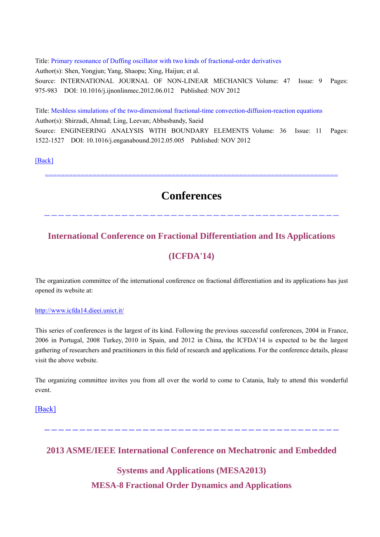Title: Primary resonance of Duffing oscillator with two kinds of fractional-order derivatives Author(s): Shen, Yongjun; Yang, Shaopu; Xing, Haijun; et al. Source: INTERNATIONAL JOURNAL OF NON-LINEAR MECHANICS Volume: 47 Issue: 9 Pages: 975-983 DOI: 10.1016/j.ijnonlinmec.2012.06.012 Published: NOV 2012

Title: Meshless simulations of the two-dimensional fractional-time convection-diffusion-reaction equations Author(s): Shirzadi, Ahmad; Ling, Leevan; Abbasbandy, Saeid Source: ENGINEERING ANALYSIS WITH BOUNDARY ELEMENTS Volume: 36 Issue: 11 Pages: 1522-1527 DOI: 10.1016/j.enganabound.2012.05.005 Published: NOV 2012

[Back]

**Conferences** 

------------------------------------------

==========================================================================

## **International Conference on Fractional Differentiation and Its Applications**

## **(ICFDA'14)**

The organization committee of the international conference on fractional differentiation and its applications has just opened its website at:

#### http://www.icfda14.dieei.unict.it/

This series of conferences is the largest of its kind. Following the previous successful conferences, 2004 in France, 2006 in Portugal, 2008 Turkey, 2010 in Spain, and 2012 in China, the ICFDA'14 is expected to be the largest gathering of researchers and practitioners in this field of research and applications. For the conference details, please visit the above website.

The organizing committee invites you from all over the world to come to Catania, Italy to attend this wonderful event.

[Back]

**2013 ASME/IEEE International Conference on Mechatronic and Embedded** 

------------------------------------------

## **Systems and Applications (MESA2013)**

**MESA-8 Fractional Order Dynamics and Applications**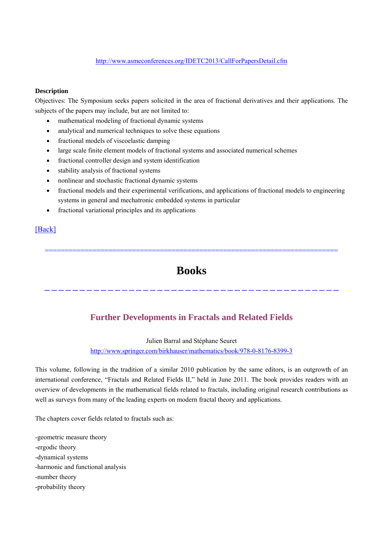#### http://www.asmeconferences.org/IDETC2013/CallForPapersDetail.cfm

#### **Description**

Objectives: The Symposium seeks papers solicited in the area of fractional derivatives and their applications. The subjects of the papers may include, but are not limited to:

- mathematical modeling of fractional dynamic systems
- analytical and numerical techniques to solve these equations
- fractional models of viscoelastic damping
- large scale finite element models of fractional systems and associated numerical schemes
- fractional controller design and system identification
- stability analysis of fractional systems
- nonlinear and stochastic fractional dynamic systems
- fractional models and their experimental verifications, and applications of fractional models to engineering systems in general and mechatronic embedded systems in particular
- fractional variational principles and its applications

### [Back]

==========================================================================

## **Books**

------------------------------------------

## **Further Developments in Fractals and Related Fields**

Julien Barral and Stéphane Seuret

#### http://www.springer.com/birkhauser/mathematics/book/978-0-8176-8399-3

This volume, following in the tradition of a similar 2010 publication by the same editors, is an outgrowth of an international conference, "Fractals and Related Fields II," held in June 2011. The book provides readers with an overview of developments in the mathematical fields related to fractals, including original research contributions as well as surveys from many of the leading experts on modern fractal theory and applications.

The chapters cover fields related to fractals such as:

-geometric measure theory -ergodic theory -dynamical systems -harmonic and functional analysis -number theory -probability theory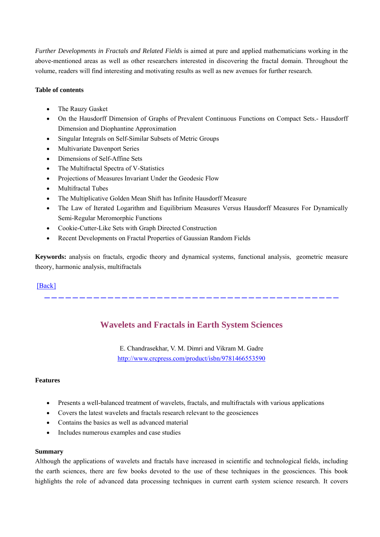*Further Developments in Fractals and Related Fields* is aimed at pure and applied mathematicians working in the above-mentioned areas as well as other researchers interested in discovering the fractal domain. Throughout the volume, readers will find interesting and motivating results as well as new avenues for further research.

#### **Table of contents**

- The Rauzy Gasket
- On the Hausdorff Dimension of Graphs of Prevalent Continuous Functions on Compact Sets.- Hausdorff Dimension and Diophantine Approximation
- Singular Integrals on Self-Similar Subsets of Metric Groups
- Multivariate Davenport Series
- Dimensions of Self-Affine Sets
- The Multifractal Spectra of V-Statistics
- Projections of Measures Invariant Under the Geodesic Flow
- Multifractal Tubes
- The Multiplicative Golden Mean Shift has Infinite Hausdorff Measure
- The Law of Iterated Logarithm and Equilibrium Measures Versus Hausdorff Measures For Dynamically Semi-Regular Meromorphic Functions
- Cookie-Cutter-Like Sets with Graph Directed Construction
- Recent Developments on Fractal Properties of Gaussian Random Fields

**Keywords:** analysis on fractals, ergodic theory and dynamical systems, functional analysis, geometric measure theory, harmonic analysis, multifractals

#### [Back]

**Wavelets and Fractals in Earth System Sciences**

------------------------------------------

E. Chandrasekhar, V. M. Dimri and Vikram M. Gadre http://www.crcpress.com/product/isbn/9781466553590

#### **Features**

- Presents a well-balanced treatment of wavelets, fractals, and multifractals with various applications
- Covers the latest wavelets and fractals research relevant to the geosciences
- Contains the basics as well as advanced material
- Includes numerous examples and case studies

#### **Summary**

Although the applications of wavelets and fractals have increased in scientific and technological fields, including the earth sciences, there are few books devoted to the use of these techniques in the geosciences. This book highlights the role of advanced data processing techniques in current earth system science research. It covers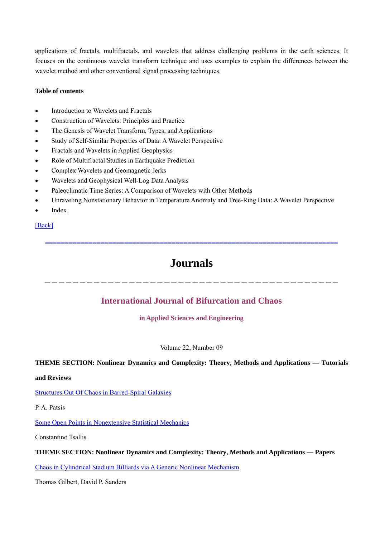applications of fractals, multifractals, and wavelets that address challenging problems in the earth sciences. It focuses on the continuous wavelet transform technique and uses examples to explain the differences between the wavelet method and other conventional signal processing techniques.

#### **Table of contents**

- Introduction to Wavelets and Fractals
- Construction of Wavelets: Principles and Practice
- The Genesis of Wavelet Transform, Types, and Applications
- Study of Self-Similar Properties of Data: A Wavelet Perspective
- Fractals and Wavelets in Applied Geophysics
- Role of Multifractal Studies in Earthquake Prediction
- Complex Wavelets and Geomagnetic Jerks
- Wavelets and Geophysical Well-Log Data Analysis
- Paleoclimatic Time Series: A Comparison of Wavelets with Other Methods
- Unraveling Nonstationary Behavior in Temperature Anomaly and Tree-Ring Data: A Wavelet Perspective
- Index

#### [Back]

## **Journals**

==========================================================================

------------------------------------------

### **International Journal of Bifurcation and Chaos**

**in Applied Sciences and Engineering**

#### Volume 22, Number 09

#### **THEME SECTION: Nonlinear Dynamics and Complexity: Theory, Methods and Applications — Tutorials**

#### **and Reviews**

#### Structures Out Of Chaos in Barred-Spiral Galaxies

P. A. Patsis

Some Open Points in Nonextensive Statistical Mechanics

Constantino Tsallis

#### **THEME SECTION: Nonlinear Dynamics and Complexity: Theory, Methods and Applications — Papers**

Chaos in Cylindrical Stadium Billiards via A Generic Nonlinear Mechanism

Thomas Gilbert, David P. Sanders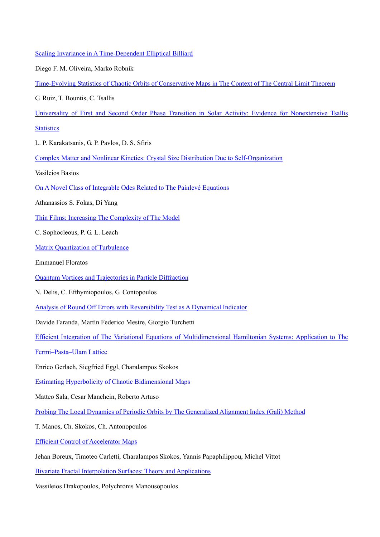Scaling Invariance in A Time-Dependent Elliptical Billiard

Diego F. M. Oliveira, Marko Robnik

```
Time-Evolving Statistics of Chaotic Orbits of Conservative Maps in The Context of The Central Limit Theorem
```
G. Ruiz, T. Bountis, C. Tsallis

Universality of First and Second Order Phase Transition in Solar Activity: Evidence for Nonextensive Tsallis

**Statistics** 

L. P. Karakatsanis, G. P. Pavlos, D. S. Sfiris

Complex Matter and Nonlinear Kinetics: Crystal Size Distribution Due to Self-Organization

Vasileios Basios

On A Novel Class of Integrable Odes Related to The Painlevé Equations

Athanassios S. Fokas, Di Yang

Thin Films: Increasing The Complexity of The Model

C. Sophocleous, P. G. L. Leach

Matrix Quantization of Turbulence

Emmanuel Floratos

Quantum Vortices and Trajectories in Particle Diffraction

N. Delis, C. Efthymiopoulos, G. Contopoulos

Analysis of Round Off Errors with Reversibility Test as A Dynamical Indicator

Davide Faranda, Martín Federico Mestre, Giorgio Turchetti

Efficient Integration of The Variational Equations of Multidimensional Hamiltonian Systems: Application to The

Fermi–Pasta–Ulam Lattice

Enrico Gerlach, Siegfried Eggl, Charalampos Skokos

Estimating Hyperbolicity of Chaotic Bidimensional Maps

Matteo Sala, Cesar Manchein, Roberto Artuso

Probing The Local Dynamics of Periodic Orbits by The Generalized Alignment Index (Gali) Method

T. Manos, Ch. Skokos, Ch. Antonopoulos

Efficient Control of Accelerator Maps

Jehan Boreux, Timoteo Carletti, Charalampos Skokos, Yannis Papaphilippou, Michel Vittot

Bivariate Fractal Interpolation Surfaces: Theory and Applications

Vassileios Drakopoulos, Polychronis Manousopoulos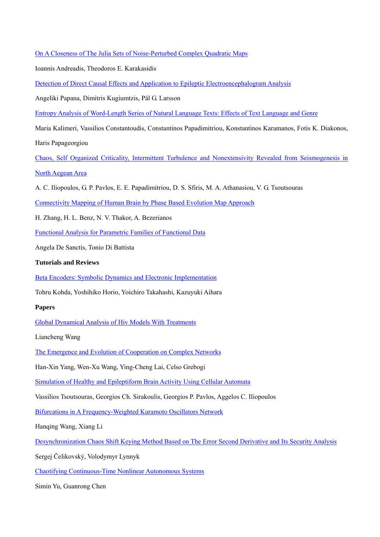On A Closeness of The Julia Sets of Noise-Perturbed Complex Quadratic Maps

Ioannis Andreadis, Theodoros E. Karakasidis

Detection of Direct Causal Effects and Application to Epileptic Electroencephalogram Analysis

Angeliki Papana, Dimitris Kugiumtzis, Pål G. Larsson

Entropy Analysis of Word-Length Series of Natural Language Texts: Effects of Text Language and Genre

Maria Kalimeri, Vassilios Constantoudis, Constantinos Papadimitriou, Konstantinos Karamanos, Fotis K. Diakonos, Haris Papageorgiou

Chaos, Self Organized Criticality, Intermittent Turbulence and Nonextensivity Revealed from Seismogenesis in North Aegean Area

A. C. Iliopoulos, G. P. Pavlos, E. E. Papadimitriou, D. S. Sfiris, M. A. Athanasiou, V. G. Tsoutsouras

Connectivity Mapping of Human Brain by Phase Based Evolution Map Approach

H. Zhang, H. L. Benz, N. V. Thakor, A. Bezerianos

Functional Analysis for Parametric Families of Functional Data

Angela De Sanctis, Tonio Di Battista

#### **Tutorials and Reviews**

Beta Encoders: Symbolic Dynamics and Electronic Implementation

Tohru Kohda, Yoshihiko Horio, Yoichiro Takahashi, Kazuyuki Aihara

#### **Papers**

Global Dynamical Analysis of Hiv Models With Treatments

Liancheng Wang

The Emergence and Evolution of Cooperation on Complex Networks

Han-Xin Yang, Wen-Xu Wang, Ying-Cheng Lai, Celso Grebogi

Simulation of Healthy and Epileptiform Brain Activity Using Cellular Automata

Vassilios Tsoutsouras, Georgios Ch. Sirakoulis, Georgios P. Pavlos, Aggelos C. Iliopoulos

Bifurcations in A Frequency-Weighted Kuramoto Oscillators Network

Hanqing Wang, Xiang Li

Desynchronization Chaos Shift Keying Method Based on The Error Second Derivative and Its Security Analysis

Sergej Čelikovský, Volodymyr Lynnyk

Chaotifying Continuous-Time Nonlinear Autonomous Systems

Simin Yu, Guanrong Chen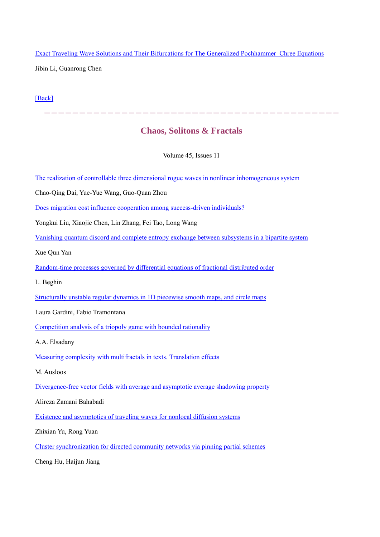Exact Traveling Wave Solutions and Their Bifurcations for The Generalized Pochhammer–Chree Equations Jibin Li, Guanrong Chen

[Back]

## **Chaos, Solitons & Fractals**

 $--\,-\,-\,-\,-\,-\,-\,-\,-\,-\,-$ 

Volume 45, Issues 11

The realization of controllable three dimensional rogue waves in nonlinear inhomogeneous system

Chao-Qing Dai, Yue-Yue Wang, Guo-Quan Zhou

Does migration cost influence cooperation among success-driven individuals?

Yongkui Liu, Xiaojie Chen, Lin Zhang, Fei Tao, Long Wang

Vanishing quantum discord and complete entropy exchange between subsystems in a bipartite system

Xue Qun Yan

Random-time processes governed by differential equations of fractional distributed order

L. Beghin

Structurally unstable regular dynamics in 1D piecewise smooth maps, and circle maps

Laura Gardini, Fabio Tramontana

Competition analysis of a triopoly game with bounded rationality

A.A. Elsadany

Measuring complexity with multifractals in texts. Translation effects

M. Ausloos

Divergence-free vector fields with average and asymptotic average shadowing property

Alireza Zamani Bahabadi

Existence and asymptotics of traveling waves for nonlocal diffusion systems

Zhixian Yu, Rong Yuan

Cluster synchronization for directed community networks via pinning partial schemes

Cheng Hu, Haijun Jiang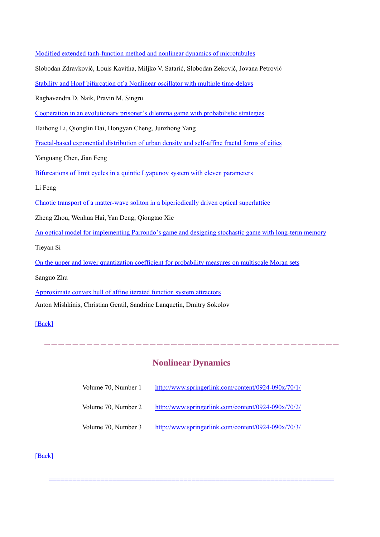| Modified extended tanh-function method and nonlinear dynamics of microtubules                         |  |  |
|-------------------------------------------------------------------------------------------------------|--|--|
| Slobodan Zdravković, Louis Kavitha, Miljko V. Satarić, Slobodan Zeković, Jovana Petrović              |  |  |
| Stability and Hopf bifurcation of a Nonlinear oscillator with multiple time-delays                    |  |  |
| Raghavendra D. Naik, Pravin M. Singru                                                                 |  |  |
| Cooperation in an evolutionary prisoner's dilemma game with probabilistic strategies                  |  |  |
| Haihong Li, Qionglin Dai, Hongyan Cheng, Junzhong Yang                                                |  |  |
| Fractal-based exponential distribution of urban density and self-affine fractal forms of cities       |  |  |
| Yanguang Chen, Jian Feng                                                                              |  |  |
| Bifurcations of limit cycles in a quintic Lyapunov system with eleven parameters                      |  |  |
| Li Feng                                                                                               |  |  |
| Chaotic transport of a matter-wave soliton in a biperiodically driven optical superlattice            |  |  |
| Zheng Zhou, Wenhua Hai, Yan Deng, Qiongtao Xie                                                        |  |  |
| An optical model for implementing Parrondo's game and designing stochastic game with long-term memory |  |  |
| Tieyan Si                                                                                             |  |  |
| On the upper and lower quantization coefficient for probability measures on multiscale Moran sets     |  |  |
| Sanguo Zhu                                                                                            |  |  |
| Approximate convex hull of affine iterated function system attractors                                 |  |  |
| Anton Mishkinis, Christian Gentil, Sandrine Lanquetin, Dmitry Sokolov                                 |  |  |
| [Back]                                                                                                |  |  |

## **Nonlinear Dynamics**

------------------------------------------

| Volume 70, Number 1 | http://www.springerlink.com/content/0924-090x/70/1/ |
|---------------------|-----------------------------------------------------|
|                     |                                                     |

- Volume 70, Number 2 http://www.springerlink.com/content/0924-090x/70/2/
- Volume 70, Number 3 http://www.springerlink.com/content/0924-090x/70/3/

========================================================================

[Back]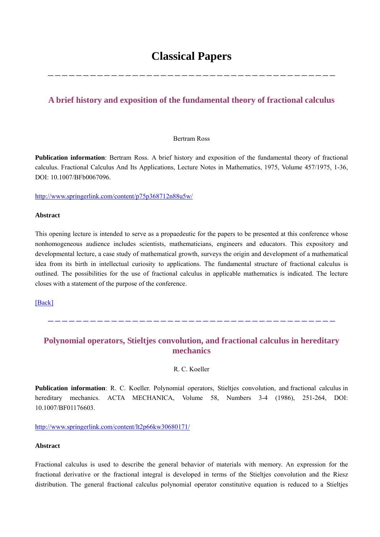## **Classical Papers**

-----------------------------------------

### **A brief history and exposition of the fundamental theory of fractional calculus**

#### Bertram Ross

**Publication information**: Bertram Ross. A brief history and exposition of the fundamental theory of fractional calculus. Fractional Calculus And Its Applications, Lecture Notes in Mathematics, 1975, Volume 457/1975, 1-36, DOI: 10.1007/BFb0067096.

http://www.springerlink.com/content/p75p368712n88u5w/

#### **Abstract**

This opening lecture is intended to serve as a propaedeutic for the papers to be presented at this conference whose nonhomogeneous audience includes scientists, mathematicians, engineers and educators. This expository and developmental lecture, a case study of mathematical growth, surveys the origin and development of a mathematical idea from its birth in intellectual curiosity to applications. The fundamental structure of fractional calculus is outlined. The possibilities for the use of fractional calculus in applicable mathematics is indicated. The lecture closes with a statement of the purpose of the conference.

[Back]

### **Polynomial operators, Stieltjes convolution, and fractional calculus in hereditary mechanics**

-----------------------------------------

R. C. Koeller

**Publication information**: R. C. Koeller. Polynomial operators, Stieltjes convolution, and fractional calculus in hereditary mechanics. ACTA MECHANICA, Volume 58, Numbers 3-4 (1986), 251-264, DOI: 10.1007/BF01176603.

http://www.springerlink.com/content/lt2p66kw30680171/

#### **Abstract**

Fractional calculus is used to describe the general behavior of materials with memory. An expression for the fractional derivative or the fractional integral is developed in terms of the Stieltjes convolution and the Riesz distribution. The general fractional calculus polynomial operator constitutive equation is reduced to a Stieltjes